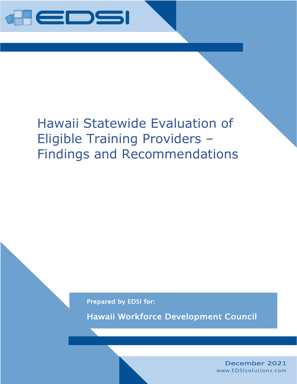

# Hawaii Statewide Evaluation of Eligible Training Providers – Findings and Recommendations

Prepared by EDSI for:

Hawaii Workforce Development Council

December 2021 www.EDSIsolutions.com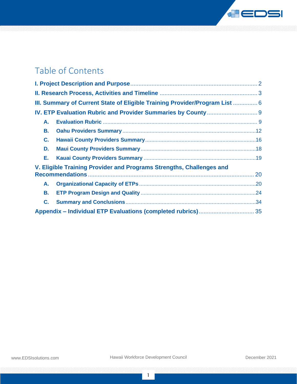

# Table of Contents

|    | III. Summary of Current State of Eligible Training Provider/Program List  6 |  |
|----|-----------------------------------------------------------------------------|--|
|    |                                                                             |  |
| А. |                                                                             |  |
| В. |                                                                             |  |
| C. |                                                                             |  |
| D. |                                                                             |  |
| Е. |                                                                             |  |
|    | V. Eligible Training Provider and Programs Strengths, Challenges and        |  |
| А. |                                                                             |  |
| В. |                                                                             |  |
| C. |                                                                             |  |
|    |                                                                             |  |

1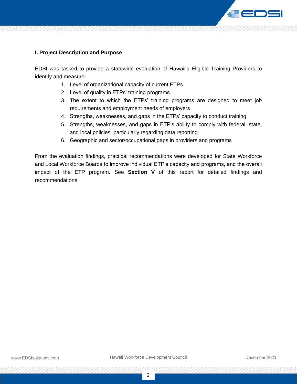

#### <span id="page-2-0"></span>**I. Project Description and Purpose**

EDSI was tasked to provide a statewide evaluation of Hawaii's Eligible Training Providers to identify and measure:

- 1. Level of organizational capacity of current ETPs
- 2. Level of quality in ETPs' training programs
- 3. The extent to which the ETPs' training programs are designed to meet job requirements and employment needs of employers
- 4. Strengths, weaknesses, and gaps in the ETPs' capacity to conduct training
- 5. Strengths, weaknesses, and gaps in ETP's ability to comply with federal, state, and local policies, particularly regarding data reporting
- 6. Geographic and sector/occupational gaps in providers and programs

From the evaluation findings, practical recommendations were developed for State Workforce and Local Workforce Boards to improve individual ETP's capacity and programs, and the overall impact of the ETP program. See **Section V** of this report for detailed findings and recommendations.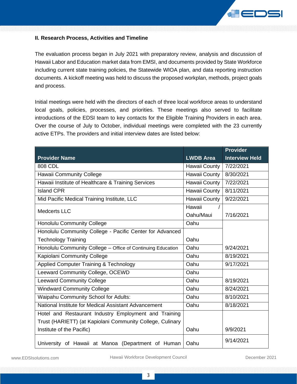

#### <span id="page-3-0"></span>**II. Research Process, Activities and Timeline**

The evaluation process began in July 2021 with preparatory review, analysis and discussion of Hawaii Labor and Education market data from EMSI, and documents provided by State Workforce including current state training policies, the Statewide WIOA plan, and data reporting instruction documents. A kickoff meeting was held to discuss the proposed workplan, methods, project goals and process.

Initial meetings were held with the directors of each of three local workforce areas to understand local goals, policies, processes, and priorities. These meetings also served to facilitate introductions of the EDSI team to key contacts for the Eligible Training Providers in each area. Over the course of July to October, individual meetings were completed with the 23 currently active ETPs. The providers and initial interview dates are listed below:

|                                                             |                      | Provider              |
|-------------------------------------------------------------|----------------------|-----------------------|
| <b>Provider Name</b>                                        | <b>LWDB Area</b>     | <b>Interview Held</b> |
| 808 CDL                                                     | Hawaii County        | 7/22/2021             |
| Hawaii Community College                                    | Hawaii County        | 8/30/2021             |
| Hawaii Institute of Healthcare & Training Services          | Hawaii County        | 7/22/2021             |
| <b>Island CPR</b>                                           | Hawaii County        | 8/11/2021             |
| Mid Pacific Medical Training Institute, LLC                 | <b>Hawaii County</b> | 9/22/2021             |
| Medcerts LLC                                                | Hawaii               |                       |
|                                                             | Oahu/Maui            | 7/16/2021             |
| Honolulu Community College                                  | Oahu                 |                       |
| Honolulu Community College - Pacific Center for Advanced    |                      |                       |
| <b>Technology Training</b>                                  | Oahu                 |                       |
| Honolulu Community College - Office of Continuing Education | Oahu                 | 9/24/2021             |
| Kapiolani Community College                                 | Oahu                 | 8/19/2021             |
| Applied Computer Training & Technology                      | Oahu                 | 9/17/2021             |
| Leeward Community College, OCEWD                            | Oahu                 |                       |
| <b>Leeward Community College</b>                            | Oahu                 | 8/19/2021             |
| <b>Windward Community College</b>                           | Oahu                 | 8/24/2021             |
| Waipahu Community School for Adults:                        | Oahu                 | 8/10/2021             |
| National Institute for Medical Assistant Advancement        | Oahu                 | 8/18/2021             |
| Hotel and Restaurant Industry Employment and Training       |                      |                       |
| Trust (HARIETT) (at Kapiolani Community College, Culinary   |                      |                       |
| Institute of the Pacific)                                   | Oahu                 | 9/9/2021              |
| University of Hawaii at Manoa (Department of Human          | Oahu                 | 9/14/2021             |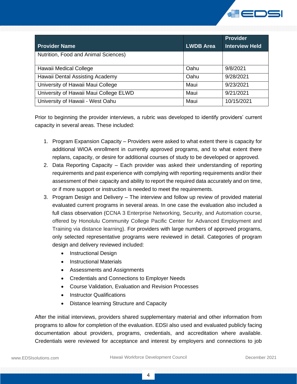

|                                        |                  | <b>Provider</b>       |
|----------------------------------------|------------------|-----------------------|
| <b>Provider Name</b>                   | <b>LWDB Area</b> | <b>Interview Held</b> |
| Nutrition, Food and Animal Sciences)   |                  |                       |
| Hawaii Medical College                 | Oahu             | 9/8/2021              |
| Hawaii Dental Assisting Academy        | Oahu             | 9/28/2021             |
| University of Hawaii Maui College      | Maui             | 9/23/2021             |
| University of Hawaii Maui College ELWD | Maui             | 9/21/2021             |
| University of Hawaii - West Oahu       | Maui             | 10/15/2021            |

Prior to beginning the provider interviews, a rubric was developed to identify providers' current capacity in several areas. These included:

- 1. Program Expansion Capacity Providers were asked to what extent there is capacity for additional WIOA enrollment in currently approved programs, and to what extent there replans, capacity, or desire for additional courses of study to be developed or approved.
- 2. Data Reporting Capacity Each provider was asked their understanding of reporting requirements and past experience with complying with reporting requirements and/or their assessment of their capacity and ability to report the required data accurately and on time, or if more support or instruction is needed to meet the requirements.
- 3. Program Design and Delivery The interview and follow up review of provided material evaluated current programs in several areas. In one case the evaluation also included a full class observation (CCNA 3 Enterprise Networking, Security, and Automation course, offered by Honolulu Community College Pacific Center for Advanced Employment and Training via distance learning). For providers with large numbers of approved programs, only selected representative programs were reviewed in detail. Categories of program design and delivery reviewed included:
	- Instructional Design
	- Instructional Materials
	- Assessments and Assignments
	- Credentials and Connections to Employer Needs
	- Course Validation, Evaluation and Revision Processes
	- Instructor Qualifications
	- Distance learning Structure and Capacity

After the initial interviews, providers shared supplementary material and other information from programs to allow for completion of the evaluation. EDSI also used and evaluated publicly facing documentation about providers, programs, credentials, and accreditation where available. Credentials were reviewed for acceptance and interest by employers and connections to job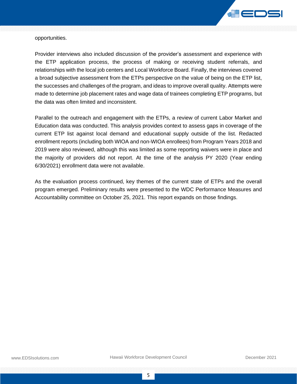

opportunities.

Provider interviews also included discussion of the provider's assessment and experience with the ETP application process, the process of making or receiving student referrals, and relationships with the local job centers and Local Workforce Board. Finally, the interviews covered a broad subjective assessment from the ETPs perspective on the value of being on the ETP list, the successes and challenges of the program, and ideas to improve overall quality. Attempts were made to determine job placement rates and wage data of trainees completing ETP programs, but the data was often limited and inconsistent.

Parallel to the outreach and engagement with the ETPs, a review of current Labor Market and Education data was conducted. This analysis provides context to assess gaps in coverage of the current ETP list against local demand and educational supply outside of the list. Redacted enrollment reports (including both WIOA and non-WIOA enrollees) from Program Years 2018 and 2019 were also reviewed, although this was limited as some reporting waivers were in place and the majority of providers did not report. At the time of the analysis PY 2020 (Year ending 6/30/2021) enrollment data were not available.

As the evaluation process continued, key themes of the current state of ETPs and the overall program emerged. Preliminary results were presented to the WDC Performance Measures and Accountability committee on October 25, 2021. This report expands on those findings.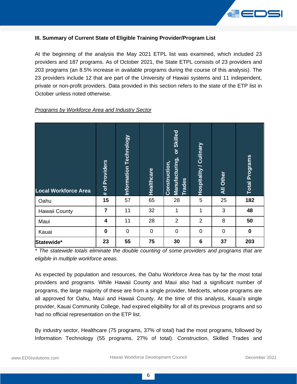

#### <span id="page-6-0"></span>**III. Summary of Current State of Eligible Training Provider/Program List**

At the beginning of the analysis the May 2021 ETPL list was examined, which included 23 providers and 187 programs. As of October 2021, the State ETPL consists of 23 providers and 203 programs (an 8.5% increase in available programs during the course of this analysis). The 23 providers include 12 that are part of the University of Hawaii systems and 11 independent, private or non-profit providers. Data provided in this section refers to the state of the ETP list in October unless noted otherwise.

#### **Manufacturing, or Skilled**  Manufacturing, or Skilled nformation Technology **Information Technology Hospitality / Culinary** Hospitality / Culinary **Total Programs Total Programs** of Providers **Construction, # of Providers** Construction, **Healthcare All Other Trade sLocal Workforce Area** st. **0ahu 15** 167 65 28 5 25 182 Hawaii County **7 7** 11 32 1 1 1 3 48 Maui **4** 11 28 2 2 8 **50** Kauai **0** 0 0 0 0 0 **0 Statewide\* 23 55 75 30 6 37 203**

#### *Programs by Workforce Area and Industry Sector*

*\* The statewide totals eliminate the double counting of some providers and programs that are eligible in multiple workforce areas.*

As expected by population and resources, the Oahu Workforce Area has by far the most total providers and programs. While Hawaii County and Maui also had a significant number of programs, the large majority of these are from a single provider, Medcerts, whose programs are all approved for Oahu, Maui and Hawaii County. At the time of this analysis, Kauai's single provider, Kauai Community College, had expired eligibility for all of its previous programs and so had no official representation on the ETP list.

By industry sector, Healthcare (75 programs, 37% of total) had the most programs, followed by Information Technology (55 programs, 27% of total). Construction, Skilled Trades and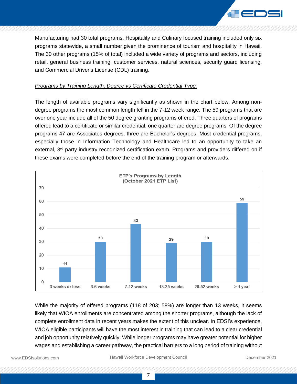

Manufacturing had 30 total programs. Hospitality and Culinary focused training included only six programs statewide, a small number given the prominence of tourism and hospitality in Hawaii. The 30 other programs (15% of total) included a wide variety of programs and sectors, including retail, general business training, customer services, natural sciences, security guard licensing, and Commercial Driver's License (CDL) training.

#### *Programs by Training Length; Degree vs Certificate Credential Type:*

The length of available programs vary significantly as shown in the chart below. Among nondegree programs the most common length fell in the 7-12 week range. The 59 programs that are over one year include all of the 50 degree granting programs offered. Three quarters of programs offered lead to a certificate or similar credential, one quarter are degree programs. Of the degree programs 47 are Associates degrees, three are Bachelor's degrees. Most credential programs, especially those in Information Technology and Healthcare led to an opportunity to take an external, 3<sup>rd</sup> party industry recognized certification exam. Programs and providers differed on if these exams were completed before the end of the training program or afterwards.



While the majority of offered programs (118 of 203; 58%) are longer than 13 weeks, it seems likely that WIOA enrollments are concentrated among the shorter programs, although the lack of complete enrollment data in recent years makes the extent of this unclear. In EDSI's experience, WIOA eligible participants will have the most interest in training that can lead to a clear credential and job opportunity relatively quickly. While longer programs may have greater potential for higher wages and establishing a career pathway, the practical barriers to a long period of training without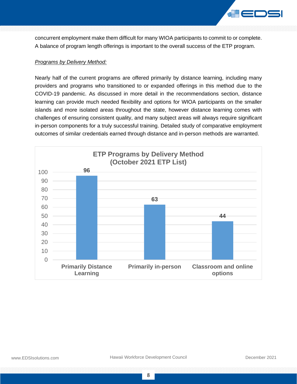

concurrent employment make them difficult for many WIOA participants to commit to or complete. A balance of program length offerings is important to the overall success of the ETP program.

#### *Programs by Delivery Method:*

Nearly half of the current programs are offered primarily by distance learning, including many providers and programs who transitioned to or expanded offerings in this method due to the COVID-19 pandemic. As discussed in more detail in the recommendations section, distance learning can provide much needed flexibility and options for WIOA participants on the smaller islands and more isolated areas throughout the state, however distance learning comes with challenges of ensuring consistent quality, and many subject areas will always require significant in-person components for a truly successful training. Detailed study of comparative employment outcomes of similar credentials earned through distance and in-person methods are warranted.

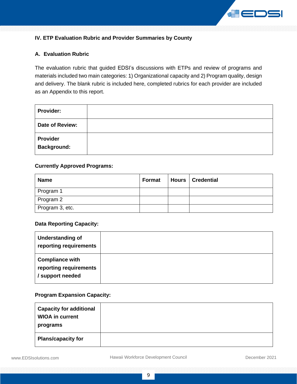

# <span id="page-9-0"></span>**IV. ETP Evaluation Rubric and Provider Summaries by County**

#### <span id="page-9-1"></span>**A. Evaluation Rubric**

The evaluation rubric that guided EDSI's discussions with ETPs and review of programs and materials included two main categories: 1) Organizational capacity and 2) Program quality, design and delivery. The blank rubric is included here, completed rubrics for each provider are included as an Appendix to this report.

| <b>Provider:</b>                      |  |
|---------------------------------------|--|
| Date of Review:                       |  |
| <b>Provider</b><br><b>Background:</b> |  |

#### **Currently Approved Programs:**

| <b>Name</b>     | Format | Hours   Credential |
|-----------------|--------|--------------------|
| Program 1       |        |                    |
| Program 2       |        |                    |
| Program 3, etc. |        |                    |

#### **Data Reporting Capacity:**

| <b>Understanding of</b><br>reporting requirements                    |  |
|----------------------------------------------------------------------|--|
| <b>Compliance with</b><br>reporting requirements<br>/ support needed |  |

## **Program Expansion Capacity:**

| <b>Capacity for additional</b><br><b>WIOA in current</b><br>programs |  |
|----------------------------------------------------------------------|--|
| <b>Plans/capacity for</b>                                            |  |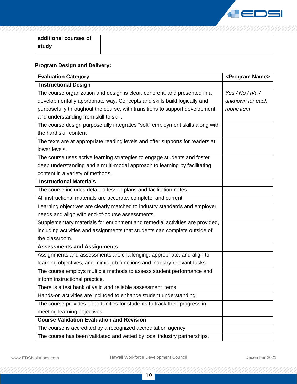

| additional courses of |
|-----------------------|
| study                 |

# **Program Design and Delivery:**

| <b>Evaluation Category</b>                                                    | <program name=""></program> |
|-------------------------------------------------------------------------------|-----------------------------|
| <b>Instructional Design</b>                                                   |                             |
| The course organization and design is clear, coherent, and presented in a     | Yes / No / $n/a$ /          |
| developmentally appropriate way. Concepts and skills build logically and      | unknown for each            |
| purposefully throughout the course, with transitions to support development   | rubric item                 |
| and understanding from skill to skill.                                        |                             |
| The course design purposefully integrates "soft" employment skills along with |                             |
| the hard skill content                                                        |                             |
| The texts are at appropriate reading levels and offer supports for readers at |                             |
| lower levels.                                                                 |                             |
| The course uses active learning strategies to engage students and foster      |                             |
| deep understanding and a multi-modal approach to learning by facilitating     |                             |
| content in a variety of methods.                                              |                             |
| <b>Instructional Materials</b>                                                |                             |
| The course includes detailed lesson plans and facilitation notes.             |                             |
| All instructional materials are accurate, complete, and current.              |                             |
| Learning objectives are clearly matched to industry standards and employer    |                             |
| needs and align with end-of-course assessments.                               |                             |
| Supplementary materials for enrichment and remedial activities are provided,  |                             |
| including activities and assignments that students can complete outside of    |                             |
| the classroom.                                                                |                             |
| <b>Assessments and Assignments</b>                                            |                             |
| Assignments and assessments are challenging, appropriate, and align to        |                             |
| learning objectives, and mimic job functions and industry relevant tasks.     |                             |
| The course employs multiple methods to assess student performance and         |                             |
| inform instructional practice.                                                |                             |
| There is a test bank of valid and reliable assessment items                   |                             |
| Hands-on activities are included to enhance student understanding.            |                             |
| The course provides opportunities for students to track their progress in     |                             |
| meeting learning objectives.                                                  |                             |
| <b>Course Validation Evaluation and Revision</b>                              |                             |
| The course is accredited by a recognized accreditation agency.                |                             |
| The course has been validated and vetted by local industry partnerships,      |                             |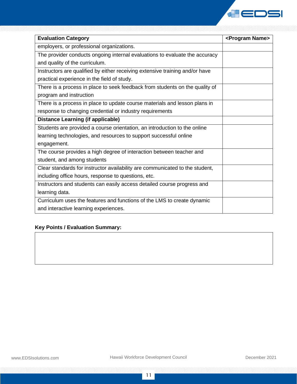

| <b>Evaluation Category</b>                                                   | <program name=""></program> |
|------------------------------------------------------------------------------|-----------------------------|
| employers, or professional organizations.                                    |                             |
| The provider conducts ongoing internal evaluations to evaluate the accuracy  |                             |
| and quality of the curriculum.                                               |                             |
| Instructors are qualified by either receiving extensive training and/or have |                             |
| practical experience in the field of study.                                  |                             |
| There is a process in place to seek feedback from students on the quality of |                             |
| program and instruction                                                      |                             |
| There is a process in place to update course materials and lesson plans in   |                             |
| response to changing credential or industry requirements                     |                             |
| <b>Distance Learning (if applicable)</b>                                     |                             |
| Students are provided a course orientation, an introduction to the online    |                             |
| learning technologies, and resources to support successful online            |                             |
| engagement.                                                                  |                             |
| The course provides a high degree of interaction between teacher and         |                             |
| student, and among students                                                  |                             |
| Clear standards for instructor availability are communicated to the student, |                             |
| including office hours, response to questions, etc.                          |                             |
| Instructors and students can easily access detailed course progress and      |                             |
| learning data.                                                               |                             |
| Curriculum uses the features and functions of the LMS to create dynamic      |                             |
| and interactive learning experiences.                                        |                             |

## **Key Points / Evaluation Summary:**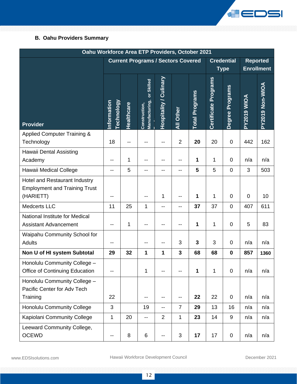

# <span id="page-12-0"></span>**B. Oahu Providers Summary**

| Oahu Workforce Area ETP Providers, October 2021                                           |                                           |            |                                               |                               |                |                       |                             |                                  |                |                                      |
|-------------------------------------------------------------------------------------------|-------------------------------------------|------------|-----------------------------------------------|-------------------------------|----------------|-----------------------|-----------------------------|----------------------------------|----------------|--------------------------------------|
|                                                                                           | <b>Current Programs / Sectors Covered</b> |            |                                               |                               |                |                       |                             | <b>Credential</b><br><b>Type</b> |                | <b>Reported</b><br><b>Enrollment</b> |
| <b>Provider</b>                                                                           | nformation<br><u> Fechnology</u>          | Healthcare | or Skilled<br>Manufacturing,<br>Construction, | <b>Hospitality / Culinary</b> | All Other      | <b>Total Programs</b> | <b>Certificate Programs</b> | <b>Programs</b><br>Degree I      | PY2019 WIOA    | PY2019 Non-WIOA                      |
| <b>Applied Computer Training &amp;</b><br>Technology                                      | 18                                        |            |                                               |                               | $\overline{2}$ | 20                    | 20                          | $\pmb{0}$                        | 442            | 162                                  |
| Hawaii Dental Assisting<br>Academy                                                        | --                                        | 1          | --                                            |                               | --             | 1                     | 1                           | 0                                | n/a            | n/a                                  |
| Hawaii Medical College                                                                    | --                                        | 5          | --                                            | --                            | --             | 5                     | 5                           | $\mathbf 0$                      | 3              | 503                                  |
| <b>Hotel and Restaurant Industry</b><br><b>Employment and Training Trust</b><br>(HARIETT) | --                                        |            | --                                            | 1                             | $-$            | 1                     | 1                           | 0                                | $\overline{0}$ | 10                                   |
| <b>Medcerts LLC</b>                                                                       | 11                                        | 25         | 1                                             | $-$                           | $-$            | 37                    | 37                          | 0                                | 407            | 611                                  |
| National Institute for Medical<br><b>Assistant Advancement</b>                            | --                                        | 1          | --                                            | --                            | --             | 1                     | 1                           | 0                                | 5              | 83                                   |
| Waipahu Community School for<br><b>Adults</b>                                             | --                                        |            | --                                            | --                            | 3              | 3                     | 3                           | 0                                | n/a            | n/a                                  |
| Non U of HI system Subtotal                                                               | 29                                        | 32         | 1                                             | 1                             | 3              | 68                    | 68                          | $\mathbf 0$                      | 857            | 1360                                 |
| Honolulu Community College -<br><b>Office of Continuing Education</b>                     | --                                        |            | 1                                             |                               |                | 1                     | 1                           | 0                                | n/a            | n/a                                  |
| Honolulu Community College -<br>Pacific Center for Adv Tech                               |                                           |            |                                               |                               |                |                       |                             |                                  |                |                                      |
| Training                                                                                  | 22                                        |            | --                                            | --                            | $- -$          | 22                    | 22                          | 0                                | n/a            | n/a                                  |
| <b>Honolulu Community College</b>                                                         | 3                                         |            | 19                                            | --                            | $\overline{7}$ | 29                    | 13                          | 16                               | n/a            | n/a                                  |
| Kapiolani Community College                                                               | 1                                         | 20         | $\overline{\phantom{a}}$                      | $\overline{2}$                | 1              | 23                    | 14                          | 9                                | n/a            | n/a                                  |
| Leeward Community College,<br><b>OCEWD</b>                                                | --                                        | 8          | $\,6$                                         | --                            | $\mathfrak{B}$ | 17                    | 17                          | 0                                | n/a            | n/a                                  |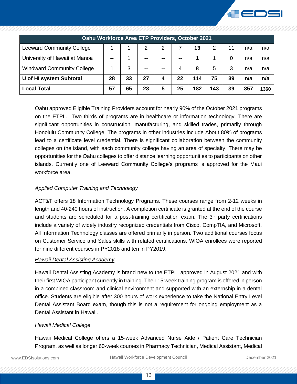

| Oahu Workforce Area ETP Providers, October 2021 |    |    |    |   |    |     |     |    |     |      |
|-------------------------------------------------|----|----|----|---|----|-----|-----|----|-----|------|
| <b>Leeward Community College</b>                |    |    | 2  | 2 |    | 13  | 2   | 11 | n/a | n/a  |
| University of Hawaii at Manoa                   |    |    |    |   |    |     |     | 0  | n/a | n/a  |
| <b>Windward Community College</b>               |    | 3  |    |   |    | 8   | 5   | 3  | n/a | n/a  |
| U of HI system Subtotal                         | 28 | 33 | 27 |   | 22 | 114 | 75  | 39 | n/a | n/a  |
| Local Total                                     | 57 | 65 | 28 | 5 | 25 | 182 | 143 | 39 | 857 | 1360 |

Oahu approved Eligible Training Providers account for nearly 90% of the October 2021 programs on the ETPL. Two thirds of programs are in healthcare or information technology. There are significant opportunities in construction, manufacturing, and skilled trades, primarily through Honolulu Community College. The programs in other industries include About 80% of programs lead to a certificate level credential. There is significant collaboration between the community colleges on the island, with each community college having an area of specialty. There may be opportunities for the Oahu colleges to offer distance learning opportunities to participants on other islands. Currently one of Leeward Community College's programs is approved for the Maui workforce area.

#### *Applied Computer Training and Technology*

ACT&T offers 18 Information Technology Programs. These courses range from 2-12 weeks in length and 40-240 hours of instruction. A completion certificate is granted at the end of the course and students are scheduled for a post-training certification exam. The  $3<sup>rd</sup>$  party certifications include a variety of widely industry recognized credentials from Cisco, CompTIA, and Microsoft. All Information Technology classes are offered primarily in person. Two additional courses focus on Customer Service and Sales skills with related certifications. WIOA enrollees were reported for nine different courses in PY2018 and ten in PY2019.

#### *Hawaii Dental Assisting Academy*

Hawaii Dental Assisting Academy is brand new to the ETPL, approved in August 2021 and with their first WIOA participant currently in training. Their 15 week training program is offered in person in a combined classroom and clinical environment and supported with an externship in a dental office. Students are eligible after 300 hours of work experience to take the National Entry Level Dental Assistant Board exam, though this is not a requirement for ongoing employment as a Dental Assistant in Hawaii.

#### *Hawaii Medical College*

Hawaii Medical College offers a 15-week Advanced Nurse Aide / Patient Care Technician Program, as well as longer 60-week courses in Pharmacy Technician, Medical Assistant, Medical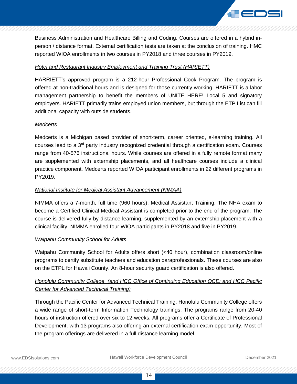

Business Administration and Healthcare Billing and Coding. Courses are offered in a hybrid inperson / distance format. External certification tests are taken at the conclusion of training. HMC reported WIOA enrollments in two courses in PY2018 and three courses in PY2019.

#### *Hotel and Restaurant Industry Employment and Training Trust (HARIETT)*

HARRIETT's approved program is a 212-hour Professional Cook Program. The program is offered at non-traditional hours and is designed for those currently working. HARIETT is a labor management partnership to benefit the members of UNITE HERE! Local 5 and signatory employers. HARIETT primarily trains employed union members, but through the ETP List can fill additional capacity with outside students.

#### *Medcerts*

Medcerts is a Michigan based provider of short-term, career oriented, e-learning training. All courses lead to a 3rd party industry recognized credential through a certification exam. Courses range from 40-576 instructional hours. While courses are offered in a fully remote format many are supplemented with externship placements, and all healthcare courses include a clinical practice component. Medcerts reported WIOA participant enrollments in 22 different programs in PY2019.

#### *National Institute for Medical Assistant Advancement (NIMAA)*

NIMMA offers a 7-month, full time (960 hours), Medical Assistant Training. The NHA exam to become a Certified Clinical Medical Assistant is completed prior to the end of the program. The course is delivered fully by distance learning, supplemented by an externship placement with a clinical facility. NIMMA enrolled four WIOA participants in PY2018 and five in PY2019.

#### *Waipahu Community School for Adults*

Waipahu Community School for Adults offers short (<40 hour), combination classroom/online programs to certify substitute teachers and education paraprofessionals. These courses are also on the ETPL for Hawaii County. An 8-hour security guard certification is also offered.

# *Honolulu Community College, (and HCC Office of Continuing Education OCE; and HCC Pacific Center for Advanced Technical Training)*

Through the Pacific Center for Advanced Technical Training, Honolulu Community College offers a wide range of short-term Information Technology trainings. The programs range from 20-40 hours of instruction offered over six to 12 weeks. All programs offer a Certificate of Professional Development, with 13 programs also offering an external certification exam opportunity. Most of the program offerings are delivered in a full distance learning model.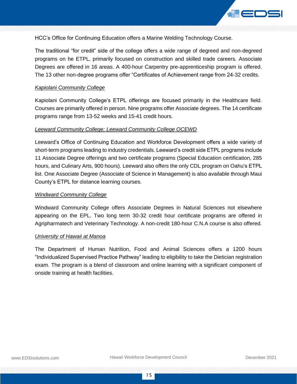

HCC's Office for Continuing Education offers a Marine Welding Technology Course.

The traditional "for credit" side of the college offers a wide range of degreed and non-degreed programs on he ETPL, primarily focused on construction and skilled trade careers. Associate Degrees are offered in 16 areas. A 400-hour Carpentry pre-apprenticeship program is offered. The 13 other non-degree programs offer "Certificates of Achievement range from 24-32 credits.

#### *Kapiolani Community College*

Kapiolani Community College's ETPL offerings are focused primarily in the Healthcare field. Courses are primarily offered in person. Nine programs offer Associate degrees. The 14 certificate programs range from 13-52 weeks and 15-41 credit hours.

#### *Leeward Community College; Leeward Community College OCEWD*

Leeward's Office of Continuing Education and Workforce Development offers a wide variety of short-term programs leading to industry credentials. Leeward's credit side ETPL programs include 11 Associate Degree offerings and two certificate programs (Special Education certification, 285 hours, and Culinary Arts, 900 hours). Leeward also offers the only CDL program on Oahu's ETPL list. One Associate Degree (Associate of Science in Management) is also available through Maui County's ETPL for distance learning courses.

#### *Windward Community College*

Windward Community College offers Associate Degrees in Natural Sciences not elsewhere appearing on the EPL. Two long term 30-32 credit hour certificate programs are offered in Agripharmatech and Veterinary Technology. A non-credit 180-hour C.N.A course is also offered.

#### *University of Hawaii at Manoa*

The Department of Human Nutrition, Food and Animal Sciences offers a 1200 hours "Individualized Supervised Practice Pathway" leading to eligibility to take the Dietician registration exam. The program is a blend of classroom and online learning with a significant component of onside training at health facilities.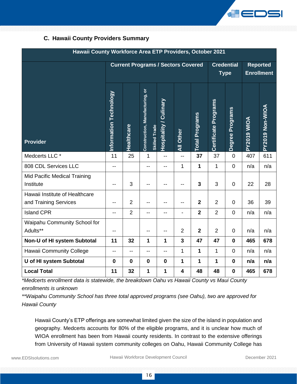

# <span id="page-16-0"></span>**C. Hawaii County Providers Summary**

| Hawaii County Workforce Area ETP Providers, October 2021 |                        |                |                                                         |                               |                          |                         |                             |                                  |             |                                      |
|----------------------------------------------------------|------------------------|----------------|---------------------------------------------------------|-------------------------------|--------------------------|-------------------------|-----------------------------|----------------------------------|-------------|--------------------------------------|
|                                                          |                        |                | <b>Current Programs / Sectors Covered</b>               |                               |                          |                         |                             | <b>Credential</b><br><b>Type</b> |             | <b>Reported</b><br><b>Enrollment</b> |
| <b>Provider</b>                                          | Information Technology | Healthcare     | Construction, Manufacturing, or<br><b>Skilled Trade</b> | <b>Hospitality / Culinary</b> | All Other                | <b>Total Programs</b>   | <b>Certificate Programs</b> | Degree Programs                  | PY2019 WIOA | PY2019 Non-WIOA                      |
| Medcerts LLC *                                           | 11                     | 25             | 1                                                       | $- -$                         | $-$                      | 37                      | 37                          | $\mathbf 0$                      | 407         | 611                                  |
| 808 CDL Services LLC                                     | --                     |                | $-$                                                     | --                            | $\mathbf{1}$             | $\mathbf 1$             | $\mathbf{1}$                | $\mathbf 0$                      | n/a         | n/a                                  |
| Mid Pacific Medical Training<br>Institute                | --                     | 3              | --                                                      | --                            | --                       | $\overline{\mathbf{3}}$ | 3                           | $\mathsf 0$                      | 22          | 28                                   |
| Hawaii Institute of Healthcare<br>and Training Services  | --                     | $\overline{2}$ | --                                                      | --                            | --                       | $\mathbf{2}$            | $\overline{2}$              | 0                                | 36          | 39                                   |
| <b>Island CPR</b>                                        | --                     | $\overline{2}$ | $-$                                                     | --                            | $\overline{\phantom{a}}$ | $\overline{2}$          | $\overline{2}$              | $\overline{0}$                   | n/a         | n/a                                  |
| Waipahu Community School for<br>Adults**                 | --                     |                | --                                                      | --                            | $\overline{2}$           | $\overline{2}$          | $\overline{2}$              | $\mathsf 0$                      | n/a         | n/a                                  |
| Non-U of HI system Subtotal                              | 11                     | 32             | 1                                                       | 1                             | $\overline{\mathbf{3}}$  | 47                      | 47                          | $\mathbf 0$                      | 465         | 678                                  |
| Hawaii Community College                                 | --                     | $-$            | --                                                      | --                            | $\mathbf{1}$             | 1                       | 1                           | $\mathbf 0$                      | n/a         | n/a                                  |
| U of HI system Subtotal                                  | $\mathbf 0$            | $\mathbf 0$    | $\mathbf 0$                                             | $\mathbf 0$                   | 1                        | 1                       | 1                           | $\mathbf 0$                      | n/a         | n/a                                  |
| <b>Local Total</b>                                       | 11                     | 32             | 1                                                       | 1                             | $\overline{\mathbf{4}}$  | 48                      | 48                          | $\mathbf 0$                      | 465         | 678                                  |

*\*Medcerts enrollment data is statewide, the breakdown Oahu vs Hawaii County vs Maui County enrollments is unknown*

*\*\*Waipahu Community School has three total approved programs (see Oahu), two are approved for Hawaii County*

Hawaii County's ETP offerings are somewhat limited given the size of the island in population and geography. Medcerts accounts for 80% of the eligible programs, and it is unclear how much of WIOA enrollment has been from Hawaii county residents. In contrast to the extensive offerings from University of Hawaii system community colleges on Oahu, Hawaii Community College has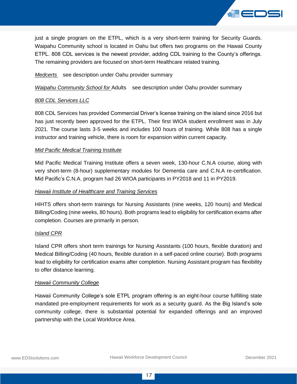

just a single program on the ETPL, which is a very short-term training for Security Guards. Waipahu Community school is located in Oahu but offers two programs on the Hawaii County ETPL. 808 CDL services is the newest provider, adding CDL training to the County's offerings. The remaining providers are focused on short-term Healthcare related training.

*Medcerts* see description under Oahu provider summary

*Waipahu Community School for* Adults see description under Oahu provider summary

#### *808 CDL Services LLC*

808 CDL Services has provided Commercial Driver's license training on the island since 2016 but has just recently been approved for the ETPL. Their first WIOA student enrollment was in July 2021. The course lasts 3-5 weeks and includes 100 hours of training. While 808 has a single instructor and training vehicle, there is room for expansion within current capacity.

#### *Mid Pacific Medical Training Institute*

Mid Pacific Medical Training Institute offers a seven week, 130-hour C.N.A course, along with very short-term (8-hour) supplementary modules for Dementia care and C.N.A re-certification. Mid Pacific's C.N.A. program had 26 WIOA participants in PY2018 and 11 in PY2019.

#### *Hawaii Institute of Healthcare and Training Services*

HIHTS offers short-term trainings for Nursing Assistants (nine weeks, 120 hours) and Medical Billing/Coding (nine weeks, 80 hours). Both programs lead to eligibility for certification exams after completion. Courses are primarily in person.

#### *Island CPR*

Island CPR offers short term trainings for Nursing Assistants (100 hours, flexible duration) and Medical Billing/Coding (40 hours, flexible duration in a self-paced online course). Both programs lead to eligibility for certification exams after completion. Nursing Assistant program has flexibility to offer distance learning.

#### *Hawaii Community College*

Hawaii Community College's sole ETPL program offering is an eight-hour course fulfilling state mandated pre-employment requirements for work as a security guard. As the Big Island's sole community college, there is substantial potential for expanded offerings and an improved partnership with the Local Workforce Area.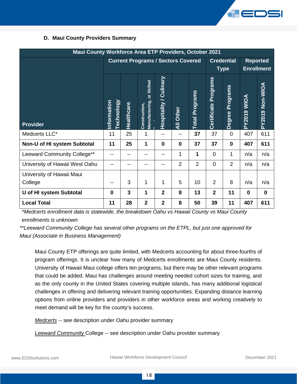

#### <span id="page-18-0"></span>**D. Maui County Providers Summary**

| Maui County Workforce Area ETP Providers, October 2021 |                                           |            |                                               |                               |                  |                       |                             |                    |                   |                 |
|--------------------------------------------------------|-------------------------------------------|------------|-----------------------------------------------|-------------------------------|------------------|-----------------------|-----------------------------|--------------------|-------------------|-----------------|
|                                                        | <b>Current Programs / Sectors Covered</b> |            |                                               |                               |                  | <b>Credential</b>     |                             | <b>Reported</b>    |                   |                 |
|                                                        |                                           |            |                                               |                               |                  |                       |                             | <b>Type</b>        | <b>Enrollment</b> |                 |
| <b>Provider</b>                                        | <b>Lechnology</b><br>Information          | Healthcare | or Skilled<br>Manufacturing,<br>Construction, | <b>Hospitality / Culinary</b> | <b>All Other</b> | <b>Total Programs</b> | <b>Certificate Programs</b> | Programs<br>Degree | PY2019 WIOA       | PY2019 Non-WIOA |
| Medcerts LLC*                                          | 11                                        | 25         | 1                                             | --                            | --               | 37                    | 37                          | $\mathbf 0$        | 407               | 611             |
| Non-U of HI system Subtotal                            | 11                                        | 25         | 1                                             | $\bf{0}$                      | $\bf{0}$         | 37                    | 37                          | $\mathbf 0$        | 407               | 611             |
| Leeward Community College**                            |                                           |            | --                                            | --                            | 1                | 1                     | $\overline{0}$              | 1                  | n/a               | n/a             |
| University of Hawaii West Oahu                         |                                           |            |                                               |                               | $\overline{2}$   | $\overline{2}$        | $\mathbf 0$                 | $\overline{2}$     | n/a               | n/a             |
| University of Hawaii Maui                              |                                           |            |                                               |                               |                  |                       |                             |                    |                   |                 |
| College                                                |                                           | 3          | 1                                             | 1                             | 5                | 10                    | 2                           | 8                  | n/a               | n/a             |
| U of HI system Subtotal                                | $\mathbf 0$                               | 3          | 1                                             | $\overline{2}$                | 8                | 13                    | $\overline{2}$              | 11                 | $\mathbf{0}$      | $\mathbf 0$     |
| <b>Local Total</b>                                     | 11                                        | 28         | $\overline{2}$                                | $\overline{2}$                | 8                | 50                    | 39                          | 11                 | 407               | 611             |

*\*Medcerts enrollment data is statewide, the breakdown Oahu vs Hawaii County vs Maui County enrollments is unknown*

*\*\*Leeward Community College has several other programs on the ETPL, but just one approved for Maui (Associate in Business Management)*

Maui County ETP offerings are quite limited, with Medcerts accounting for about three-fourths of program offerings. It is unclear how many of Medcerts enrollments are Maui County residents. University of Hawaii Maui college offers ten programs, but there may be other relevant programs that could be added. Maui has challenges around meeting needed cohort sizes for training, and as the only county in the United States covering multiple islands, has many additional logistical challenges in offering and delivering relevant training opportunities. Expanding distance learning options from online providers and providers in other workforce areas and working creatively to meet demand will be key for the county's success.

*Medcerts* -- see description under Oahu provider summary

*Leeward Community* College -- see description under Oahu provider summary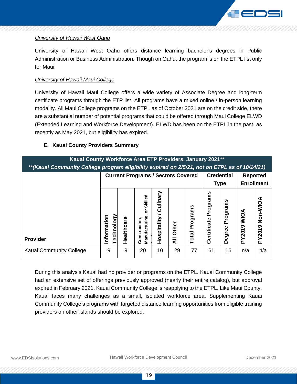

#### *University of Hawaii West Oahu*

University of Hawaii West Oahu offers distance learning bachelor's degrees in Public Administration or Business Administration. Though on Oahu, the program is on the ETPL list only for Maui.

#### *University of Hawaii Maui College*

University of Hawaii Maui College offers a wide variety of Associate Degree and long-term certificate programs through the ETP list. All programs have a mixed online / in-person learning modality. All Maui College programs on the ETPL as of October 2021 are on the credit side, there are a substantial number of potential programs that could be offered through Maui College ELWD (Extended Learning and Workforce Development). ELWD has been on the ETPL in the past, as recently as May 2021, but eligibility has expired.

#### <span id="page-19-0"></span>**E. Kauai County Providers Summary**

| Kauai County Workforce Area ETP Providers, January 2021**<br>** (Kauai Community College program eligibility expired on 2/5/21, not on ETPL as of 10/14/21) |                                    |                                                                                   |                                               |                                          |            |                          |                            |                    |                   |                    |
|-------------------------------------------------------------------------------------------------------------------------------------------------------------|------------------------------------|-----------------------------------------------------------------------------------|-----------------------------------------------|------------------------------------------|------------|--------------------------|----------------------------|--------------------|-------------------|--------------------|
|                                                                                                                                                             |                                    | <b>Current Programs / Sectors Covered</b><br><b>Credential</b><br><b>Reported</b> |                                               |                                          |            |                          |                            |                    |                   |                    |
|                                                                                                                                                             |                                    |                                                                                   |                                               |                                          |            |                          | <b>Type</b>                |                    | <b>Enrollment</b> |                    |
| <b>Provider</b>                                                                                                                                             | <b>echnology</b><br>ō<br>Informati | Healthcare                                                                        | Skilled<br>৯<br>Manufacturing<br>Construction | vilinary<br>ت<br>pitality<br>n<br>Ö<br>I | Other<br>₹ | Programs<br><b>Total</b> | Programs<br>rtificate<br>ق | Programs<br>Degree | MOM<br>PY2019     | Non-WIOA<br>PY2019 |
| Kauai Community College                                                                                                                                     | 9                                  | 9                                                                                 | 20                                            | 10                                       | 29         | 77                       | 61                         | 16                 | n/a               | n/a                |

During this analysis Kauai had no provider or programs on the ETPL. Kauai Community College had an extensive set of offerings previously approved (nearly their entire catalog), but approval expired in February 2021. Kauai Community College is reapplying to the ETPL. Like Maui County, Kauai faces many challenges as a small, isolated workforce area. Supplementing Kauai Community College's programs with targeted distance learning opportunities from eligible training providers on other islands should be explored.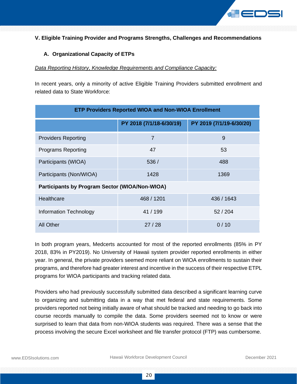

#### <span id="page-20-0"></span>**V. Eligible Training Provider and Programs Strengths, Challenges and Recommendations**

#### <span id="page-20-1"></span>**A. Organizational Capacity of ETPs**

#### *Data Reporting History, Knowledge Requirements and Compliance Capacity:*

In recent years, only a minority of active Eligible Training Providers submitted enrollment and related data to State Workforce:

| <b>ETP Providers Reported WIOA and Non-WIOA Enrollment</b> |                          |                          |  |  |  |  |
|------------------------------------------------------------|--------------------------|--------------------------|--|--|--|--|
|                                                            | PY 2018 (7/1/18-6/30/19) | PY 2019 (7/1/19-6/30/20) |  |  |  |  |
| <b>Providers Reporting</b>                                 | $\overline{7}$           | 9                        |  |  |  |  |
| <b>Programs Reporting</b>                                  | 47                       | 53                       |  |  |  |  |
| Participants (WIOA)                                        | 536/                     | 488                      |  |  |  |  |
| Participants (Non/WIOA)                                    | 1428                     | 1369                     |  |  |  |  |
| <b>Participants by Program Sector (WIOA/Non-WIOA)</b>      |                          |                          |  |  |  |  |
| Healthcare                                                 | 468 / 1201               | 436 / 1643               |  |  |  |  |
| Information Technology                                     | 41 / 199                 | 52/204                   |  |  |  |  |
| <b>All Other</b>                                           | 27/28                    | 0/10                     |  |  |  |  |

In both program years, Medcerts accounted for most of the reported enrollments (85% in PY 2018, 83% in PY2019). No University of Hawaii system provider reported enrollments in either year. In general, the private providers seemed more reliant on WIOA enrollments to sustain their programs, and therefore had greater interest and incentive in the success of their respective ETPL programs for WIOA participants and tracking related data.

Providers who had previously successfully submitted data described a significant learning curve to organizing and submitting data in a way that met federal and state requirements. Some providers reported not being initially aware of what should be tracked and needing to go back into course records manually to compile the data. Some providers seemed not to know or were surprised to learn that data from non-WIOA students was required. There was a sense that the process involving the secure Excel worksheet and file transfer protocol (FTP) was cumbersome.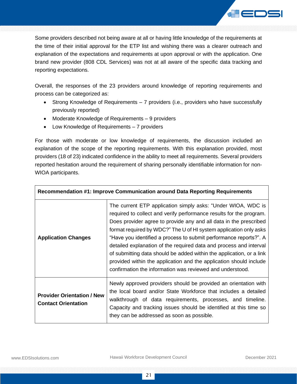

Some providers described not being aware at all or having little knowledge of the requirements at the time of their initial approval for the ETP list and wishing there was a clearer outreach and explanation of the expectations and requirements at upon approval or with the application. One brand new provider (808 CDL Services) was not at all aware of the specific data tracking and reporting expectations.

Overall, the responses of the 23 providers around knowledge of reporting requirements and process can be categorized as:

- Strong Knowledge of Requirements 7 providers (i.e., providers who have successfully previously reported)
- Moderate Knowledge of Requirements 9 providers
- Low Knowledge of Requirements 7 providers

For those with moderate or low knowledge of requirements, the discussion included an explanation of the scope of the reporting requirements. With this explanation provided, most providers (18 of 23) indicated confidence in the ability to meet all requirements. Several providers reported hesitation around the requirement of sharing personally identifiable information for non-WIOA participants.

| Recommendation #1: Improve Communication around Data Reporting Requirements |                                                                                                                                                                                                                                                                                                                                                                                                                                                                                                                                                                                                                                     |  |  |  |  |
|-----------------------------------------------------------------------------|-------------------------------------------------------------------------------------------------------------------------------------------------------------------------------------------------------------------------------------------------------------------------------------------------------------------------------------------------------------------------------------------------------------------------------------------------------------------------------------------------------------------------------------------------------------------------------------------------------------------------------------|--|--|--|--|
| <b>Application Changes</b>                                                  | The current ETP application simply asks: "Under WIOA, WDC is<br>required to collect and verify performance results for the program.<br>Does provider agree to provide any and all data in the prescribed<br>format required by WDC?" The U of HI system application only asks<br>"Have you identified a process to submit performance reports?". A<br>detailed explanation of the required data and process and interval<br>of submitting data should be added within the application, or a link<br>provided within the application and the application should include<br>confirmation the information was reviewed and understood. |  |  |  |  |
| <b>Provider Orientation / New</b><br><b>Contact Orientation</b>             | Newly approved providers should be provided an orientation with<br>the local board and/or State Workforce that includes a detailed<br>walkthrough of data requirements, processes, and timeline.<br>Capacity and tracking issues should be identified at this time so<br>they can be addressed as soon as possible.                                                                                                                                                                                                                                                                                                                 |  |  |  |  |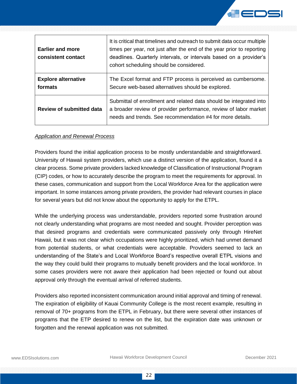

| <b>Earlier and more</b><br>consistent contact | It is critical that timelines and outreach to submit data occur multiple<br>times per year, not just after the end of the year prior to reporting<br>deadlines. Quarterly intervals, or intervals based on a provider's<br>cohort scheduling should be considered. |
|-----------------------------------------------|--------------------------------------------------------------------------------------------------------------------------------------------------------------------------------------------------------------------------------------------------------------------|
| <b>Explore alternative</b><br>formats         | The Excel format and FTP process is perceived as cumbersome.<br>Secure web-based alternatives should be explored.                                                                                                                                                  |
| <b>Review of submitted data</b>               | Submittal of enrollment and related data should be integrated into<br>a broader review of provider performance, review of labor market<br>needs and trends. See recommendation #4 for more details.                                                                |

#### *Application and Renewal Process*

Providers found the initial application process to be mostly understandable and straightforward. University of Hawaii system providers, which use a distinct version of the application, found it a clear process. Some private providers lacked knowledge of Classification of Instructional Program (CIP) codes, or how to accurately describe the program to meet the requirements for approval. In these cases, communication and support from the Local Workforce Area for the application were important. In some instances among private providers, the provider had relevant courses in place for several years but did not know about the opportunity to apply for the ETPL.

While the underlying process was understandable, providers reported some frustration around not clearly understanding what programs are most needed and sought. Provider perception was that desired programs and credentials were communicated passively only through HireNet Hawaii, but it was not clear which occupations were highly prioritized, which had unmet demand from potential students, or what credentials were acceptable. Providers seemed to lack an understanding of the State's and Local Workforce Board's respective overall ETPL visions and the way they could build their programs to mutually benefit providers and the local workforce. In some cases providers were not aware their application had been rejected or found out about approval only through the eventual arrival of referred students.

Providers also reported inconsistent communication around initial approval and timing of renewal. The expiration of eligibility of Kauai Community College is the most recent example, resulting in removal of 70+ programs from the ETPL in February, but there were several other instances of programs that the ETP desired to renew on the list, but the expiration date was unknown or forgotten and the renewal application was not submitted.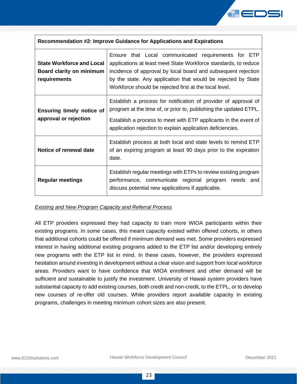

| Recommendation #2: Improve Guidance for Applications and Expirations         |                                                                                                                                                                                                                                                                                                                    |  |  |  |  |  |
|------------------------------------------------------------------------------|--------------------------------------------------------------------------------------------------------------------------------------------------------------------------------------------------------------------------------------------------------------------------------------------------------------------|--|--|--|--|--|
| <b>State Workforce and Local</b><br>Board clarity on minimum<br>requirements | Ensure that Local communicated requirements for ETP<br>applications at least meet State Workforce standards, to reduce<br>incidence of approval by local board and subsequent rejection<br>by the state. Any application that would be rejected by State<br>Workforce should be rejected first at the local level. |  |  |  |  |  |
| <b>Ensuring timely notice of</b><br>approval or rejection                    | Establish a process for notification of provider of approval of<br>program at the time of, or prior to, publishing the updated ETPL.<br>Establish a process to meet with ETP applicants in the event of<br>application rejection to explain application deficiencies.                                              |  |  |  |  |  |
| Notice of renewal date                                                       | Establish process at both local and state levels to remind ETP<br>of an expiring program at least 90 days prior to the expiration<br>date.                                                                                                                                                                         |  |  |  |  |  |
| <b>Regular meetings</b>                                                      | Establish regular meetings with ETPs to review existing program<br>performance, communicate regional program needs and<br>discuss potential new applications if applicable.                                                                                                                                        |  |  |  |  |  |

#### *Existing and New Program Capacity and Referral Process*

All ETP providers expressed they had capacity to train more WIOA participants within their existing programs. In some cases, this meant capacity existed within offered cohorts, in others that additional cohorts could be offered if minimum demand was met. Some providers expressed interest in having additional existing programs added to the ETP list and/or developing entirely new programs with the ETP list in mind. In these cases, however, the providers expressed hesitation around investing in development without a clear vision and support from local workforce areas. Providers want to have confidence that WIOA enrollment and other demand will be sufficient and sustainable to justify the investment. University of Hawaii system providers have substantial capacity to add existing courses, both credit and non-credit, to the ETPL, or to develop new courses of re-offer old courses. While providers report available capacity in existing programs, challenges in meeting minimum cohort sizes are also present.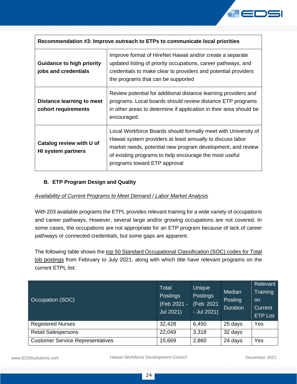

| Recommendation #3: Improve outreach to ETPs to communicate local priorities |                                                                                                                                                                                                                                                                                       |  |  |  |  |
|-----------------------------------------------------------------------------|---------------------------------------------------------------------------------------------------------------------------------------------------------------------------------------------------------------------------------------------------------------------------------------|--|--|--|--|
| <b>Guidance to high priority</b><br>jobs and credentials                    | Improve format of HireNet Hawaii and/or create a separate<br>updated listing of priority occupations, career pathways, and<br>credentials to make clear to providers and potential providers<br>the programs that can be supported                                                    |  |  |  |  |
| Distance learning to meet<br>cohort requirements                            | Review potential for additional distance learning providers and<br>programs. Local boards should review distance ETP programs<br>in other areas to determine if application in their area should be<br>encouraged.                                                                    |  |  |  |  |
| Catalog review with U of<br><b>HI system partners</b>                       | Local Workforce Boards should formally meet with University of<br>Hawaii system providers at least annually to discuss labor<br>market needs, potential new program development, and review<br>of existing programs to help encourage the most useful<br>programs toward ETP approval |  |  |  |  |

#### <span id="page-24-0"></span>**B. ETP Program Design and Quality**

#### *Availability of Current Programs to Meet Demand / Labor Market Analysis*

With 203 available programs the ETPL provides relevant training for a wide variety of occupations and career pathways. However, several large and/or growing occupations are not covered. In some cases, the occupations are not appropriate for an ETP program because of lack of career pathways or connected credentials, but some gaps are apparent.

The following table shows the top 50 Standard Occupational Classification (SOC) codes for Total job postings from February to July 2021, along with which title have relevant programs on the current ETPL list:

| Occupation (SOC)                        | <b>Total</b><br><b>Postings</b><br>(Feb 2021 -<br>Jul 2021) | Unique<br><b>Postings</b><br>(Feb 2021<br>- Jul 2021) | Median<br>Posting<br><b>Duration</b> | Relevant<br>Training<br><b>on</b><br>Current,<br><b>ETP List</b> |
|-----------------------------------------|-------------------------------------------------------------|-------------------------------------------------------|--------------------------------------|------------------------------------------------------------------|
| <b>Registered Nurses</b>                | 32,428                                                      | 6,450                                                 | 25 days                              | Yes                                                              |
| <b>Retail Salespersons</b>              | 22,049                                                      | 3,318                                                 | 32 days                              |                                                                  |
| <b>Customer Service Representatives</b> | 15,669                                                      | 2,860                                                 | 24 days                              | Yes                                                              |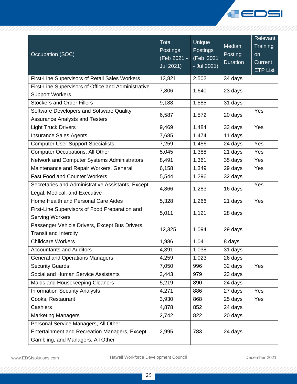

| Occupation (SOC)                                                                                                            | Total<br><b>Postings</b><br>(Feb 2021 -<br>Jul 2021) | Unique<br><b>Postings</b><br>(Feb 2021<br>- Jul 2021) | Median<br>Posting<br><b>Duration</b> | Relevant<br>Training<br>on<br>Current<br><b>ETP List</b> |
|-----------------------------------------------------------------------------------------------------------------------------|------------------------------------------------------|-------------------------------------------------------|--------------------------------------|----------------------------------------------------------|
| First-Line Supervisors of Retail Sales Workers                                                                              | 13,821                                               | 2,502                                                 | 34 days                              |                                                          |
| First-Line Supervisors of Office and Administrative<br><b>Support Workers</b>                                               | 7,806                                                | 1,640                                                 | 23 days                              |                                                          |
| <b>Stockers and Order Fillers</b>                                                                                           | 9,188                                                | 1,585                                                 | 31 days                              |                                                          |
| Software Developers and Software Quality<br><b>Assurance Analysts and Testers</b>                                           | 6,587                                                | 1,572                                                 | 20 days                              | Yes                                                      |
| <b>Light Truck Drivers</b>                                                                                                  | 9,469                                                | 1,484                                                 | 33 days                              | Yes                                                      |
| <b>Insurance Sales Agents</b>                                                                                               | 7,685                                                | 1,474                                                 | 11 days                              |                                                          |
| <b>Computer User Support Specialists</b>                                                                                    | 7,259                                                | 1,456                                                 | 24 days                              | Yes                                                      |
| <b>Computer Occupations, All Other</b>                                                                                      | 5,045                                                | 1,388                                                 | 21 days                              | Yes                                                      |
| Network and Computer Systems Administrators                                                                                 | 8,491                                                | 1,361                                                 | 35 days                              | Yes                                                      |
| Maintenance and Repair Workers, General                                                                                     | 6,158                                                | 1,349                                                 | 29 days                              | Yes                                                      |
| <b>Fast Food and Counter Workers</b>                                                                                        | 5,544                                                | 1,296                                                 | 32 days                              |                                                          |
| Secretaries and Administrative Assistants, Except<br>Legal, Medical, and Executive                                          | 4,866                                                | 1,283                                                 | 16 days                              | Yes                                                      |
| Home Health and Personal Care Aides                                                                                         | 5,328                                                | 1,266                                                 | 21 days                              | Yes                                                      |
| First-Line Supervisors of Food Preparation and<br><b>Serving Workers</b>                                                    | 5,011                                                | 1,121                                                 | 28 days                              |                                                          |
| Passenger Vehicle Drivers, Except Bus Drivers,<br><b>Transit and Intercity</b>                                              | 12,325                                               | 1,094                                                 | 29 days                              |                                                          |
| <b>Childcare Workers</b>                                                                                                    | 1,986                                                | 1,041                                                 | 8 days                               |                                                          |
| <b>Accountants and Auditors</b>                                                                                             | 4,391                                                | 1,038                                                 | 31 days                              |                                                          |
| <b>General and Operations Managers</b>                                                                                      | 4,259                                                | 1,023                                                 | 26 days                              |                                                          |
| <b>Security Guards</b>                                                                                                      | 7,050                                                | 996                                                   | 32 days                              | Yes                                                      |
| Social and Human Service Assistants                                                                                         | 3,443                                                | 979                                                   | 23 days                              |                                                          |
| Maids and Housekeeping Cleaners                                                                                             | 5,219                                                | 890                                                   | 24 days                              |                                                          |
| <b>Information Security Analysts</b>                                                                                        | 4,271                                                | 886                                                   | 27 days                              | Yes                                                      |
| Cooks, Restaurant                                                                                                           | 3,930                                                | 868                                                   | 25 days                              | Yes                                                      |
| Cashiers                                                                                                                    | 4,878                                                | 852                                                   | 24 days                              |                                                          |
| <b>Marketing Managers</b>                                                                                                   | 2,742                                                | 822                                                   | 20 days                              |                                                          |
| Personal Service Managers, All Other;<br>Entertainment and Recreation Managers, Except<br>Gambling; and Managers, All Other | 2,995                                                | 783                                                   | 24 days                              |                                                          |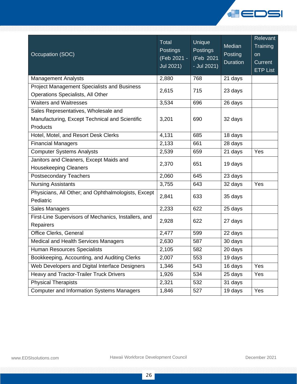

| Occupation (SOC)                                                  | <b>Total</b><br><b>Postings</b><br>(Feb 2021 -<br>Jul 2021) | Unique<br><b>Postings</b><br>(Feb 2021<br>- Jul 2021) | Median<br>Posting<br><b>Duration</b> | <b>Relevant</b><br>Training<br><b>on</b><br><b>Current</b><br><b>ETP List</b> |
|-------------------------------------------------------------------|-------------------------------------------------------------|-------------------------------------------------------|--------------------------------------|-------------------------------------------------------------------------------|
| <b>Management Analysts</b>                                        | 2,880                                                       | 768                                                   | 21 days                              |                                                                               |
| <b>Project Management Specialists and Business</b>                | 2,615                                                       | 715                                                   | 23 days                              |                                                                               |
| Operations Specialists, All Other                                 |                                                             |                                                       |                                      |                                                                               |
| <b>Waiters and Waitresses</b>                                     | 3,534                                                       | 696                                                   | 26 days                              |                                                                               |
| Sales Representatives, Wholesale and                              |                                                             |                                                       |                                      |                                                                               |
| Manufacturing, Except Technical and Scientific                    | 3,201                                                       | 690                                                   | 32 days                              |                                                                               |
| Products                                                          |                                                             |                                                       |                                      |                                                                               |
| Hotel, Motel, and Resort Desk Clerks                              | 4,131                                                       | 685                                                   | 18 days                              |                                                                               |
| <b>Financial Managers</b>                                         | 2,133                                                       | 661                                                   | 28 days                              |                                                                               |
| <b>Computer Systems Analysts</b>                                  | 2,539                                                       | 659                                                   | 21 days                              | Yes                                                                           |
| Janitors and Cleaners, Except Maids and                           | 2,370                                                       | 651                                                   | 19 days                              |                                                                               |
| <b>Housekeeping Cleaners</b>                                      |                                                             |                                                       |                                      |                                                                               |
| <b>Postsecondary Teachers</b>                                     | 2,060                                                       | 645                                                   | 23 days                              |                                                                               |
| <b>Nursing Assistants</b>                                         | 3,755                                                       | 643                                                   | 32 days                              | Yes                                                                           |
| Physicians, All Other; and Ophthalmologists, Except<br>Pediatric  | 2,841                                                       | 633                                                   | 35 days                              |                                                                               |
| Sales Managers                                                    | 2,233                                                       | 622                                                   | 25 days                              |                                                                               |
| First-Line Supervisors of Mechanics, Installers, and<br>Repairers | 2,928                                                       | 622                                                   | 27 days                              |                                                                               |
| Office Clerks, General                                            | 2,477                                                       | 599                                                   | 22 days                              |                                                                               |
| <b>Medical and Health Services Managers</b>                       | 2,630                                                       | 587                                                   | 30 days                              |                                                                               |
| <b>Human Resources Specialists</b>                                | 2,105                                                       | 582                                                   | 20 days                              |                                                                               |
| Bookkeeping, Accounting, and Auditing Clerks                      | 2,007                                                       | 553                                                   | 19 days                              |                                                                               |
| Web Developers and Digital Interface Designers                    | 1,346                                                       | 543                                                   | 16 days                              | Yes                                                                           |
| Heavy and Tractor-Trailer Truck Drivers                           | 1,926                                                       | 534                                                   | 25 days                              | Yes                                                                           |
| <b>Physical Therapists</b>                                        | 2,321                                                       | 532                                                   | 31 days                              |                                                                               |
| <b>Computer and Information Systems Managers</b>                  | 1,846                                                       | 527                                                   | 19 days                              | Yes                                                                           |
|                                                                   |                                                             |                                                       |                                      |                                                                               |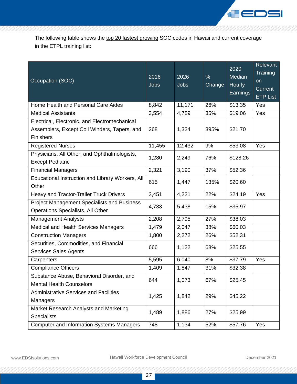

The following table shows the top 20 fastest growing SOC codes in Hawaii and current coverage in the ETPL training list:

| Occupation (SOC)                                                                        | 2016<br><b>Jobs</b> | 2026<br><b>Jobs</b> | $\%$<br>Change | 2020<br>Median<br><b>Hourly</b><br>Earnings | Relevant<br>Training<br>on<br>Current<br><b>ETP List</b> |
|-----------------------------------------------------------------------------------------|---------------------|---------------------|----------------|---------------------------------------------|----------------------------------------------------------|
| Home Health and Personal Care Aides                                                     | 8,842               | 11,171              | 26%            | \$13.35                                     | Yes                                                      |
| <b>Medical Assistants</b>                                                               | 3,554               | 4,789               | 35%            | \$19.06                                     | Yes                                                      |
| Electrical, Electronic, and Electromechanical                                           |                     |                     |                |                                             |                                                          |
| Assemblers, Except Coil Winders, Tapers, and                                            | 268                 | 1,324               | 395%           | \$21.70                                     |                                                          |
| Finishers                                                                               |                     |                     |                |                                             |                                                          |
| <b>Registered Nurses</b>                                                                | 11,455              | 12,432              | 9%             | \$53.08                                     | Yes                                                      |
| Physicians, All Other; and Ophthalmologists,<br><b>Except Pediatric</b>                 | 1,280               | 2,249               | 76%            | \$128.26                                    |                                                          |
| <b>Financial Managers</b>                                                               | 2,321               | 3,190               | 37%            | \$52.36                                     |                                                          |
| Educational Instruction and Library Workers, All<br>Other                               | 615                 | 1,447               | 135%           | \$20.60                                     |                                                          |
| Heavy and Tractor-Trailer Truck Drivers                                                 | 3,451               | 4,221               | 22%            | \$24.19                                     | Yes                                                      |
| <b>Project Management Specialists and Business</b><br>Operations Specialists, All Other | 4,733               | 5,438               | 15%            | \$35.97                                     |                                                          |
| <b>Management Analysts</b>                                                              | 2,208               | 2,795               | 27%            | \$38.03                                     |                                                          |
| Medical and Health Services Managers                                                    | 1,479               | 2,047               | 38%            | \$60.03                                     |                                                          |
| <b>Construction Managers</b>                                                            | 1,800               | 2,272               | 26%            | \$52.31                                     |                                                          |
| Securities, Commodities, and Financial<br><b>Services Sales Agents</b>                  | 666                 | 1,122               | 68%            | \$25.55                                     |                                                          |
| Carpenters                                                                              | 5,595               | 6,040               | 8%             | \$37.79                                     | Yes                                                      |
| <b>Compliance Officers</b>                                                              | 1,409               | 1,847               | 31%            | \$32.38                                     |                                                          |
| Substance Abuse, Behavioral Disorder, and<br><b>Mental Health Counselors</b>            | 644                 | 1,073               | 67%            | \$25.45                                     |                                                          |
| <b>Administrative Services and Facilities</b><br>Managers                               | 1,425               | 1,842               | 29%            | \$45.22                                     |                                                          |
| Market Research Analysts and Marketing<br><b>Specialists</b>                            | 1,489               | 1,886               | 27%            | \$25.99                                     |                                                          |
| <b>Computer and Information Systems Managers</b>                                        | 748                 | 1,134               | 52%            | \$57.76                                     | Yes                                                      |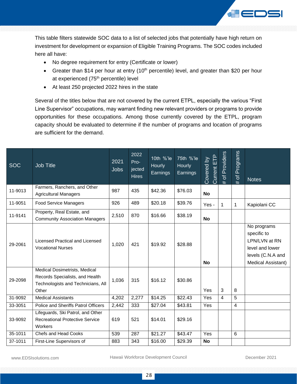

This table filters statewide SOC data to a list of selected jobs that potentially have high return on investment for development or expansion of Eligible Training Programs. The SOC codes included here all have:

- No degree requirement for entry (Certificate or lower)
- Greater than \$14 per hour at entry (10<sup>th</sup> percentile) level, and greater than \$20 per hour at experienced (75<sup>th</sup> percentile) level
- At least 250 projected 2022 hires in the state

Several of the titles below that are not covered by the current ETPL, especially the various "First Line Supervisor" occupations, may warrant finding new relevant providers or programs to provide opportunities for these occupations. Among those currently covered by the ETPL, program capacity should be evaluated to determine if the number of programs and location of programs are sufficient for the demand.

| <b>SOC</b> | <b>Job Title</b>                                                                                                | 2021<br><b>Jobs</b> | 2022<br>Pro-<br>jected<br><b>Hires</b> | 10th %'le<br>Hourly<br>Earnings | 75th %'le<br><b>Hourly</b><br>Earnings | Current ETP<br>Covered by | of Providers<br># | Programs<br>$\overline{\sigma}$<br># | <b>Notes</b>                                                                                              |
|------------|-----------------------------------------------------------------------------------------------------------------|---------------------|----------------------------------------|---------------------------------|----------------------------------------|---------------------------|-------------------|--------------------------------------|-----------------------------------------------------------------------------------------------------------|
| 11-9013    | Farmers, Ranchers, and Other<br><b>Agricultural Managers</b>                                                    | 987                 | 435                                    | \$42.36                         | \$76.03                                | <b>No</b>                 |                   |                                      |                                                                                                           |
| 11-9051    | <b>Food Service Managers</b>                                                                                    | 926                 | 489                                    | \$20.18                         | \$39.76                                | Yes -                     | $\mathbf{1}$      | $\mathbf 1$                          | Kapiolani CC                                                                                              |
| 11-9141    | Property, Real Estate, and<br><b>Community Association Managers</b>                                             | 2,510               | 870                                    | \$16.66                         | \$38.19                                | <b>No</b>                 |                   |                                      |                                                                                                           |
| 29-2061    | Licensed Practical and Licensed<br><b>Vocational Nurses</b>                                                     | 1,020               | 421                                    | \$19.92                         | \$28.88                                | <b>No</b>                 |                   |                                      | No programs<br>specific to<br>LPN/LVN at RN<br>level and lower<br>levels (C.N.A and<br>Medical Assistant) |
| 29-2098    | Medical Dosimetrists, Medical<br>Records Specialists, and Health<br>Technologists and Technicians, All<br>Other | 1,036               | 315                                    | \$16.12                         | \$30.86                                | Yes                       | 3                 | 8                                    |                                                                                                           |
| 31-9092    | <b>Medical Assistants</b>                                                                                       | 4,202               | 2,277                                  | \$14.25                         | \$22.43                                | Yes                       | 4                 | 5                                    |                                                                                                           |
| 33-3051    | Police and Sheriffs Patrol Officers                                                                             | 2,442               | 333                                    | \$27.04                         | \$43.81                                | Yes                       |                   | $\overline{4}$                       |                                                                                                           |
| 33-9092    | Lifeguards, Ski Patrol, and Other<br><b>Recreational Protective Service</b><br><b>Workers</b>                   | 619                 | 521                                    | \$14.01                         | \$29.16                                |                           |                   |                                      |                                                                                                           |
| 35-1011    | <b>Chefs and Head Cooks</b>                                                                                     | 539                 | 287                                    | \$21.27                         | \$43.47                                | Yes                       |                   | 6                                    |                                                                                                           |
| 37-1011    | First-Line Supervisors of                                                                                       | 883                 | 343                                    | \$16.00                         | \$29.39                                | <b>No</b>                 |                   |                                      |                                                                                                           |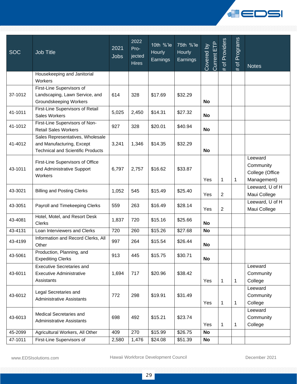

| <b>SOC</b> | <b>Job Title</b>                                                                                          | 2021<br><b>Jobs</b> | 2022<br>Pro-<br>jected<br><b>Hires</b> | 10th %'le<br><b>Hourly</b><br>Earnings | 75th %'le<br><b>Hourly</b><br>Earnings | Current ETP<br>Covered by | Providers<br>$\overline{\sigma}$<br>$\overline{t}$ | Programs<br>$\overline{\sigma}$<br># | <b>Notes</b>                                           |
|------------|-----------------------------------------------------------------------------------------------------------|---------------------|----------------------------------------|----------------------------------------|----------------------------------------|---------------------------|----------------------------------------------------|--------------------------------------|--------------------------------------------------------|
|            | Housekeeping and Janitorial<br>Workers                                                                    |                     |                                        |                                        |                                        |                           |                                                    |                                      |                                                        |
| 37-1012    | First-Line Supervisors of<br>Landscaping, Lawn Service, and<br><b>Groundskeeping Workers</b>              | 614                 | 328                                    | \$17.69                                | \$32.29                                | No                        |                                                    |                                      |                                                        |
| 41-1011    | First-Line Supervisors of Retail<br>Sales Workers                                                         | 5,025               | 2,450                                  | \$14.31                                | \$27.32                                | <b>No</b>                 |                                                    |                                      |                                                        |
| 41-1012    | First-Line Supervisors of Non-<br><b>Retail Sales Workers</b>                                             | 927                 | 328                                    | \$20.01                                | \$40.94                                | <b>No</b>                 |                                                    |                                      |                                                        |
| 41-4012    | Sales Representatives, Wholesale<br>and Manufacturing, Except<br><b>Technical and Scientific Products</b> | 3,241               | 1,346                                  | \$14.35                                | \$32.29                                | <b>No</b>                 |                                                    |                                      |                                                        |
| 43-1011    | First-Line Supervisors of Office<br>and Administrative Support<br>Workers                                 | 6,797               | 2,757                                  | \$16.62                                | \$33.87                                | Yes                       | $\mathbf 1$                                        | $\mathbf{1}$                         | Leeward<br>Community<br>College (Office<br>Management) |
| 43-3021    | <b>Billing and Posting Clerks</b>                                                                         | 1,052               | 545                                    | \$15.49                                | \$25.40                                | Yes                       | $\overline{2}$                                     |                                      | Leeward, U of H<br>Maui College                        |
| 43-3051    | Payroll and Timekeeping Clerks                                                                            | 559                 | 263                                    | \$16.49                                | \$28.14                                | Yes                       | $\overline{2}$                                     |                                      | Leeward, U of H<br>Maui College                        |
| 43-4081    | Hotel, Motel, and Resort Desk<br><b>Clerks</b>                                                            | 1,837               | 720                                    | \$15.16                                | \$25.66                                | No                        |                                                    |                                      |                                                        |
| 43-4131    | Loan Interviewers and Clerks                                                                              | 720                 | 260                                    | \$15.26                                | \$27.68                                | <b>No</b>                 |                                                    |                                      |                                                        |
| 43-4199    | Information and Record Clerks, All<br>Other                                                               | 997                 | 264                                    | \$15.54                                | \$26.44                                | <b>No</b>                 |                                                    |                                      |                                                        |
| 43-5061    | Production, Planning, and<br><b>Expediting Clerks</b>                                                     | 913                 | 445                                    | \$15.75                                | \$30.71                                | No                        |                                                    |                                      |                                                        |
| 43-6011    | <b>Executive Secretaries and</b><br><b>Executive Administrative</b><br>Assistants                         | 1,694               | 717                                    | \$20.96                                | \$38.42                                | Yes                       | $\mathbf 1$                                        | $\mathbf{1}$                         | Leeward<br>Community<br>College                        |
| 43-6012    | Legal Secretaries and<br><b>Administrative Assistants</b>                                                 | 772                 | 298                                    | \$19.91                                | \$31.49                                | Yes                       | 1                                                  | 1                                    | Leeward<br>Community<br>College                        |
| 43-6013    | Medical Secretaries and<br><b>Administrative Assistants</b>                                               | 698                 | 492                                    | \$15.21                                | \$23.74                                | Yes                       | $\mathbf 1$                                        | $\mathbf{1}$                         | Leeward<br>Community<br>College                        |
| 45-2099    | Agricultural Workers, All Other                                                                           | 409                 | 270                                    | \$15.99                                | \$26.75                                | <b>No</b>                 |                                                    |                                      |                                                        |
| 47-1011    | First-Line Supervisors of                                                                                 | 2,580               | 1,476                                  | \$24.08                                | \$51.39                                | No                        |                                                    |                                      |                                                        |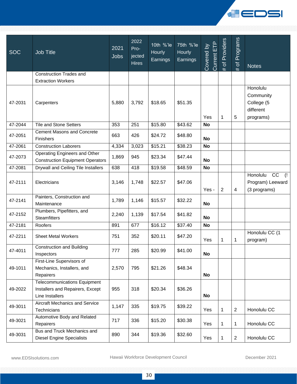

| <b>SOC</b> | <b>Job Title</b>                                                                           | 2021<br><b>Jobs</b> | 2022<br>Pro-<br>jected<br><b>Hires</b> | 10th %'le<br>Hourly<br>Earnings | 75th %'le<br>Hourly<br>Earnings | Current ETP<br>Covered by | Providers<br># of $\vert$ | Programs<br># of | <b>Notes</b>                                                     |
|------------|--------------------------------------------------------------------------------------------|---------------------|----------------------------------------|---------------------------------|---------------------------------|---------------------------|---------------------------|------------------|------------------------------------------------------------------|
|            | <b>Construction Trades and</b><br><b>Extraction Workers</b>                                |                     |                                        |                                 |                                 |                           |                           |                  |                                                                  |
| 47-2031    | Carpenters                                                                                 | 5,880               | 3,792                                  | \$18.65                         | \$51.35                         | Yes                       | $\mathbf 1$               | 5                | Honolulu<br>Community<br>College (5<br>different<br>programs)    |
| 47-2044    | <b>Tile and Stone Setters</b>                                                              | 353                 | 251                                    | \$15.80                         | \$43.62                         | No                        |                           |                  |                                                                  |
| 47-2051    | <b>Cement Masons and Concrete</b><br>Finishers                                             | 663                 | 426                                    | \$24.72                         | \$48.80                         | No                        |                           |                  |                                                                  |
| 47-2061    | <b>Construction Laborers</b>                                                               | 4,334               | 3,023                                  | \$15.21                         | \$38.23                         | <b>No</b>                 |                           |                  |                                                                  |
| 47-2073    | Operating Engineers and Other<br><b>Construction Equipment Operators</b>                   | 1,869               | 945                                    | \$23.34                         | \$47.44                         | <b>No</b>                 |                           |                  |                                                                  |
| 47-2081    | Drywall and Ceiling Tile Installers                                                        | 638                 | 418                                    | \$19.58                         | \$48.59                         | <b>No</b>                 |                           |                  |                                                                  |
| 47-2111    | Electricians                                                                               | 3,146               | 1,748                                  | \$22.57                         | \$47.06                         | Yes -                     | $\mathbf{2}$              | $\overline{4}$   | CC<br>$\left($ !<br>Honolulu<br>Program) Leeward<br>(3 programs) |
| 47-2141    | Painters, Construction and<br>Maintenance                                                  | 1,789               | 1,146                                  | \$15.57                         | \$32.22                         | No                        |                           |                  |                                                                  |
| 47-2152    | Plumbers, Pipefitters, and<br><b>Steamfitters</b>                                          | 2,240               | 1,139                                  | \$17.54                         | \$41.82                         | No                        |                           |                  |                                                                  |
| 47-2181    | Roofers                                                                                    | 891                 | 677                                    | \$16.12                         | \$37.40                         | <b>No</b>                 |                           |                  |                                                                  |
| 47-2211    | <b>Sheet Metal Workers</b>                                                                 | 751                 | 352                                    | \$20.11                         | \$47.20                         | Yes                       | 1                         | $\mathbf{1}$     | Honolulu CC (1<br>program)                                       |
| 47-4011    | <b>Construction and Building</b><br>Inspectors                                             | 777                 | 285                                    | \$20.99                         | \$41.00                         | No                        |                           |                  |                                                                  |
| 49-1011    | First-Line Supervisors of<br>Mechanics, Installers, and<br>Repairers                       | 2,570               | 795                                    | \$21.26                         | \$48.34                         | <b>No</b>                 |                           |                  |                                                                  |
| 49-2022    | <b>Telecommunications Equipment</b><br>Installers and Repairers, Except<br>Line Installers | 955                 | 318                                    | \$20.34                         | \$36.26                         | No                        |                           |                  |                                                                  |
| 49-3011    | Aircraft Mechanics and Service<br>Technicians                                              | 1,147               | 335                                    | \$19.75                         | \$39.22                         | Yes                       | 1                         | $\sqrt{2}$       | Honolulu CC                                                      |
| 49-3021    | Automotive Body and Related<br>Repairers                                                   | 717                 | 336                                    | \$15.20                         | \$30.38                         | Yes                       | 1                         | $\mathbf{1}$     | Honolulu CC                                                      |
| 49-3031    | Bus and Truck Mechanics and<br><b>Diesel Engine Specialists</b>                            | 890                 | 344                                    | \$19.36                         | \$32.60                         | Yes                       | 1                         | $\overline{2}$   | Honolulu CC                                                      |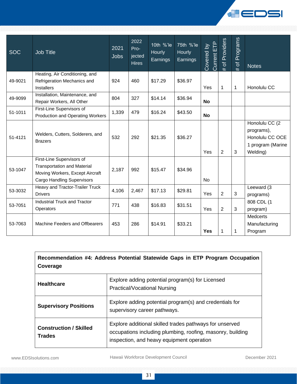

| <b>SOC</b> | <b>Job Title</b>                                                                                                                        | 2021<br><b>Jobs</b> | 2022<br>Pro-<br>jected<br><b>Hires</b> | 10th %'le<br><b>Hourly</b><br>Earnings | 75th %'le<br>Hourly<br>Earnings | <b>Ourrent ETP</b><br>Covered by | Providers<br>$\overline{\sigma}$<br># | Programs<br>$\frac{1}{\sqrt{2}}$<br># | <b>Notes</b>                                                                     |
|------------|-----------------------------------------------------------------------------------------------------------------------------------------|---------------------|----------------------------------------|----------------------------------------|---------------------------------|----------------------------------|---------------------------------------|---------------------------------------|----------------------------------------------------------------------------------|
| 49-9021    | Heating, Air Conditioning, and<br>Refrigeration Mechanics and<br><b>Installers</b>                                                      | 924                 | 460                                    | \$17.29                                | \$36.97                         | Yes                              | 1                                     | $\mathbf{1}$                          | Honolulu CC                                                                      |
| 49-9099    | Installation, Maintenance, and<br>Repair Workers, All Other                                                                             | 804                 | 327                                    | \$14.14                                | \$36.94                         | <b>No</b>                        |                                       |                                       |                                                                                  |
| 51-1011    | First-Line Supervisors of<br><b>Production and Operating Workers</b>                                                                    | 1,339               | 479                                    | \$16.24                                | \$43.50                         | <b>No</b>                        |                                       |                                       |                                                                                  |
| 51-4121    | Welders, Cutters, Solderers, and<br><b>Brazers</b>                                                                                      | 532                 | 292                                    | \$21.35                                | \$36.27                         | Yes                              | $\overline{2}$                        | 3                                     | Honolulu CC (2<br>programs),<br>Honolulu CC OCE<br>1 program (Marine<br>Welding) |
| 53-1047    | First-Line Supervisors of<br><b>Transportation and Material</b><br>Moving Workers, Except Aircraft<br><b>Cargo Handling Supervisors</b> | 2,187               | 992                                    | \$15.47                                | \$34.96                         | No                               |                                       |                                       |                                                                                  |
| 53-3032    | <b>Heavy and Tractor-Trailer Truck</b><br><b>Drivers</b>                                                                                | 4,106               | 2,467                                  | \$17.13                                | \$29.81                         | Yes                              | $\overline{2}$                        | 3                                     | Leeward (3<br>programs)                                                          |
| 53-7051    | <b>Industrial Truck and Tractor</b><br>Operators                                                                                        | 771                 | 438                                    | \$16.83                                | \$31.51                         | Yes                              | $\overline{2}$                        | 3                                     | 808 CDL (1<br>program)                                                           |
| 53-7063    | Machine Feeders and Offbearers                                                                                                          | 453                 | 286                                    | \$14.91                                | \$33.21                         | Yes                              | $\mathbf{1}$                          | $\mathbf 1$                           | <b>Medcerts</b><br>Manufacturing<br>Program                                      |

| Recommendation #4: Address Potential Statewide Gaps in ETP Program Occupation<br>Coverage |                                                                                                                                                                    |  |  |  |  |  |
|-------------------------------------------------------------------------------------------|--------------------------------------------------------------------------------------------------------------------------------------------------------------------|--|--|--|--|--|
| <b>Healthcare</b>                                                                         | Explore adding potential program(s) for Licensed<br><b>Practical/Vocational Nursing</b>                                                                            |  |  |  |  |  |
| <b>Supervisory Positions</b>                                                              | Explore adding potential program(s) and credentials for<br>supervisory career pathways.                                                                            |  |  |  |  |  |
| <b>Construction / Skilled</b><br><b>Trades</b>                                            | Explore additional skilled trades pathways for unserved<br>occupations including plumbing, roofing, masonry, building<br>inspection, and heavy equipment operation |  |  |  |  |  |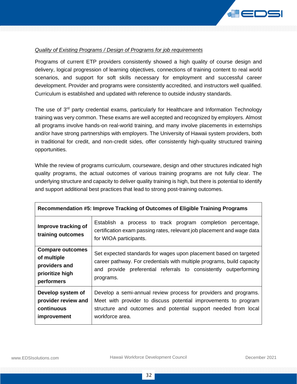

#### *Quality of Existing Programs / Design of Programs for job requirements*

Programs of current ETP providers consistently showed a high quality of course design and delivery, logical progression of learning objectives, connections of training content to real world scenarios, and support for soft skills necessary for employment and successful career development. Provider and programs were consistently accredited, and instructors well qualified. Curriculum is established and updated with reference to outside industry standards.

The use of  $3<sup>rd</sup>$  party credential exams, particularly for Healthcare and Information Technology training was very common. These exams are well accepted and recognized by employers. Almost all programs involve hands-on real-world training, and many involve placements in externships and/or have strong partnerships with employers. The University of Hawaii system providers, both in traditional for credit, and non-credit sides, offer consistently high-quality structured training opportunities.

While the review of programs curriculum, courseware, design and other structures indicated high quality programs, the actual outcomes of various training programs are not fully clear. The underlying structure and capacity to deliver quality training is high, but there is potential to identify and support additional best practices that lead to strong post-training outcomes.

| Recommendation #5: Improve Tracking of Outcomes of Eligible Training Programs |                                                                                                                                                                 |  |  |  |  |  |
|-------------------------------------------------------------------------------|-----------------------------------------------------------------------------------------------------------------------------------------------------------------|--|--|--|--|--|
| Improve tracking of<br>training outcomes                                      | Establish a process to track program completion percentage,<br>certification exam passing rates, relevant job placement and wage data<br>for WIOA participants. |  |  |  |  |  |
| <b>Compare outcomes</b>                                                       | Set expected standards for wages upon placement based on targeted                                                                                               |  |  |  |  |  |
| of multiple                                                                   | career pathway. For credentials with multiple programs, build capacity                                                                                          |  |  |  |  |  |
| providers and                                                                 | provide preferential referrals to consistently outperforming                                                                                                    |  |  |  |  |  |
| prioritize high                                                               | and                                                                                                                                                             |  |  |  |  |  |
| performers                                                                    | programs.                                                                                                                                                       |  |  |  |  |  |
| Develop system of                                                             | Develop a semi-annual review process for providers and programs.                                                                                                |  |  |  |  |  |
| provider review and                                                           | Meet with provider to discuss potential improvements to program                                                                                                 |  |  |  |  |  |
| continuous                                                                    | structure and outcomes and potential support needed from local                                                                                                  |  |  |  |  |  |
| <i>improvement</i>                                                            | workforce area.                                                                                                                                                 |  |  |  |  |  |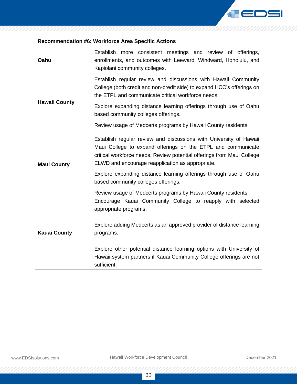

| <b>Recommendation #6: Workforce Area Specific Actions</b> |                                                                                                                                                                                                                                                                                                                                                                                                        |  |  |  |  |  |  |
|-----------------------------------------------------------|--------------------------------------------------------------------------------------------------------------------------------------------------------------------------------------------------------------------------------------------------------------------------------------------------------------------------------------------------------------------------------------------------------|--|--|--|--|--|--|
| Oahu                                                      | Establish more consistent meetings and review of offerings,<br>enrollments, and outcomes with Leeward, Windward, Honolulu, and<br>Kapiolani community colleges.                                                                                                                                                                                                                                        |  |  |  |  |  |  |
| <b>Hawaii County</b>                                      | Establish regular review and discussions with Hawaii Community<br>College (both credit and non-credit side) to expand HCC's offerings on<br>the ETPL and communicate critical workforce needs.<br>Explore expanding distance learning offerings through use of Oahu<br>based community colleges offerings.<br>Review usage of Medcerts programs by Hawaii County residents                             |  |  |  |  |  |  |
| <b>Maui County</b>                                        | Establish regular review and discussions with University of Hawaii<br>Maui College to expand offerings on the ETPL and communicate<br>critical workforce needs. Review potential offerings from Maui College<br>ELWD and encourage reapplication as appropriate.<br>Explore expanding distance learning offerings through use of Oahu<br>based community colleges offerings.                           |  |  |  |  |  |  |
| <b>Kauai County</b>                                       | Review usage of Medcerts programs by Hawaii County residents<br>Encourage Kauai Community College to reapply with selected<br>appropriate programs.<br>Explore adding Medcerts as an approved provider of distance learning<br>programs.<br>Explore other potential distance learning options with University of<br>Hawaii system partners if Kauai Community College offerings are not<br>sufficient. |  |  |  |  |  |  |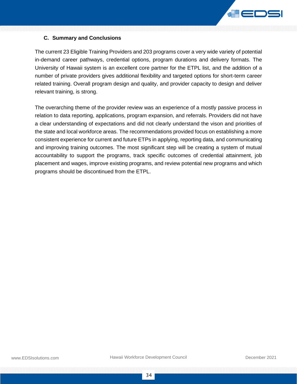

#### <span id="page-34-0"></span>**C. Summary and Conclusions**

The current 23 Eligible Training Providers and 203 programs cover a very wide variety of potential in-demand career pathways, credential options, program durations and delivery formats. The University of Hawaii system is an excellent core partner for the ETPL list, and the addition of a number of private providers gives additional flexibility and targeted options for short-term career related training. Overall program design and quality, and provider capacity to design and deliver relevant training, is strong.

The overarching theme of the provider review was an experience of a mostly passive process in relation to data reporting, applications, program expansion, and referrals. Providers did not have a clear understanding of expectations and did not clearly understand the vison and priorities of the state and local workforce areas. The recommendations provided focus on establishing a more consistent experience for current and future ETPs in applying, reporting data, and communicating and improving training outcomes. The most significant step will be creating a system of mutual accountability to support the programs, track specific outcomes of credential attainment, job placement and wages, improve existing programs, and review potential new programs and which programs should be discontinued from the ETPL.